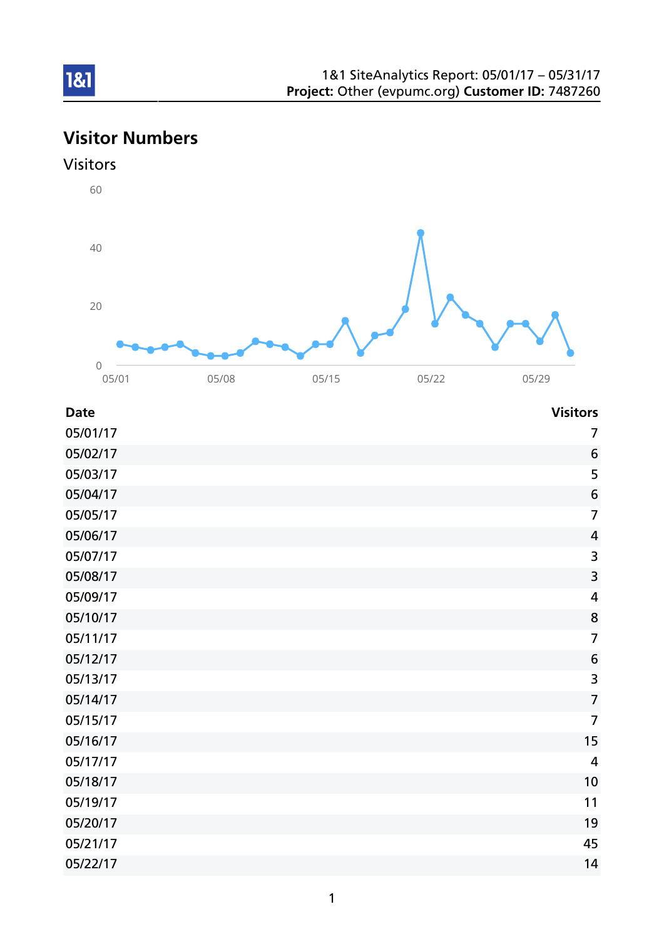# 1&1

# Visitor Numbers





| <b>Date</b> | <b>Visitors</b>         |
|-------------|-------------------------|
| 05/01/17    | 7                       |
| 05/02/17    | 6                       |
| 05/03/17    | 5                       |
| 05/04/17    | $6\phantom{1}6$         |
| 05/05/17    | $\overline{7}$          |
| 05/06/17    | $\overline{4}$          |
| 05/07/17    | 3                       |
| 05/08/17    | 3                       |
| 05/09/17    | $\overline{\mathbf{4}}$ |
| 05/10/17    | 8                       |
| 05/11/17    | $\overline{7}$          |
| 05/12/17    | $6\phantom{1}6$         |
| 05/13/17    | 3                       |
| 05/14/17    | $\overline{7}$          |
| 05/15/17    | $\overline{7}$          |
| 05/16/17    | 15                      |
| 05/17/17    | 4                       |
| 05/18/17    | 10                      |
| 05/19/17    | 11                      |
| 05/20/17    | 19                      |
| 05/21/17    | 45                      |
| 05/22/17    | 14                      |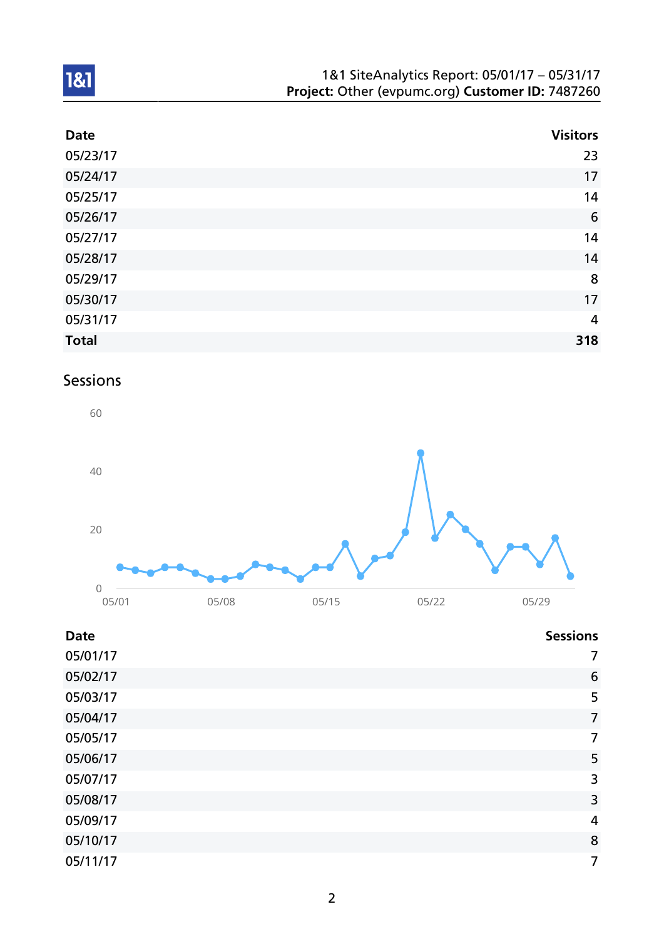| 1&1 SiteAnalytics Report: 05/01/17 - 05/31/17    |  |
|--------------------------------------------------|--|
| Project: Other (evpumc.org) Customer ID: 7487260 |  |

| <b>Date</b>  | <b>Visitors</b> |
|--------------|-----------------|
| 05/23/17     | 23              |
| 05/24/17     | 17              |
| 05/25/17     | 14              |
| 05/26/17     | $6\phantom{1}6$ |
| 05/27/17     | 14              |
| 05/28/17     | 14              |
| 05/29/17     | 8               |
| 05/30/17     | 17              |
| 05/31/17     | $\overline{4}$  |
| <b>Total</b> | 318             |

# Sessions



| <b>Date</b> | <b>Sessions</b> |
|-------------|-----------------|
| 05/01/17    | 7               |
| 05/02/17    | 6               |
| 05/03/17    | 5               |
| 05/04/17    | $\overline{7}$  |
| 05/05/17    | 7               |
| 05/06/17    | 5               |
| 05/07/17    | 3               |
| 05/08/17    | 3               |
| 05/09/17    | 4               |
| 05/10/17    | 8               |
| 05/11/17    | 7               |
|             |                 |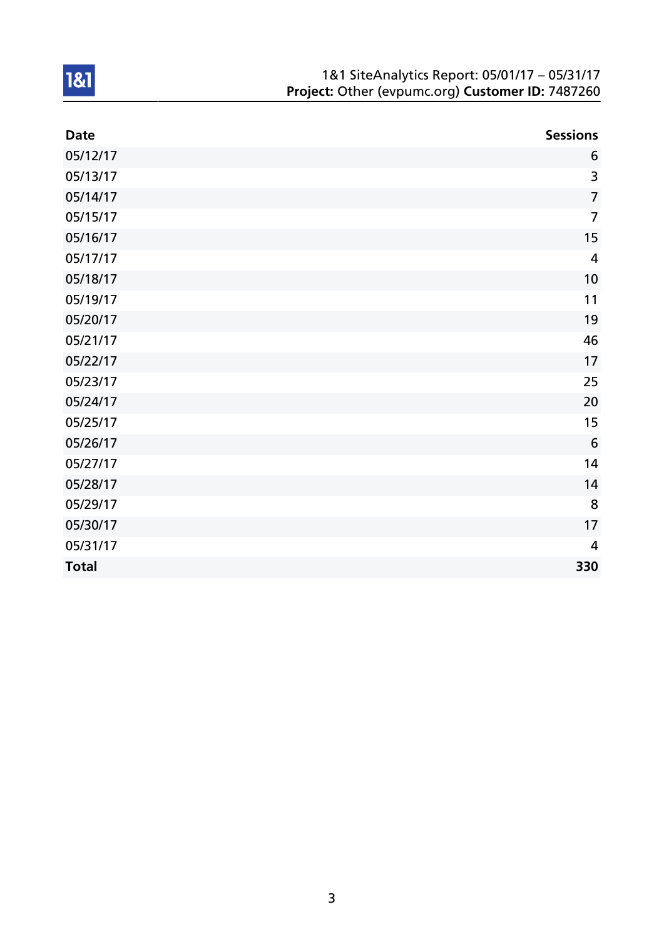| 1&1 SiteAnalytics Report: 05/01/17 - 05/31/17    |
|--------------------------------------------------|
| Project: Other (evpumc.org) Customer ID: 7487260 |

| <b>Date</b>  | <b>Sessions</b> |
|--------------|-----------------|
| 05/12/17     | 6               |
| 05/13/17     | 3               |
| 05/14/17     | $\overline{7}$  |
| 05/15/17     | $\overline{7}$  |
| 05/16/17     | 15              |
| 05/17/17     | 4               |
| 05/18/17     | 10              |
| 05/19/17     | 11              |
| 05/20/17     | 19              |
| 05/21/17     | 46              |
| 05/22/17     | 17              |
| 05/23/17     | 25              |
| 05/24/17     | 20              |
| 05/25/17     | 15              |
| 05/26/17     | 6               |
| 05/27/17     | 14              |
| 05/28/17     | 14              |
| 05/29/17     | 8               |
| 05/30/17     | 17              |
| 05/31/17     | 4               |
| <b>Total</b> | 330             |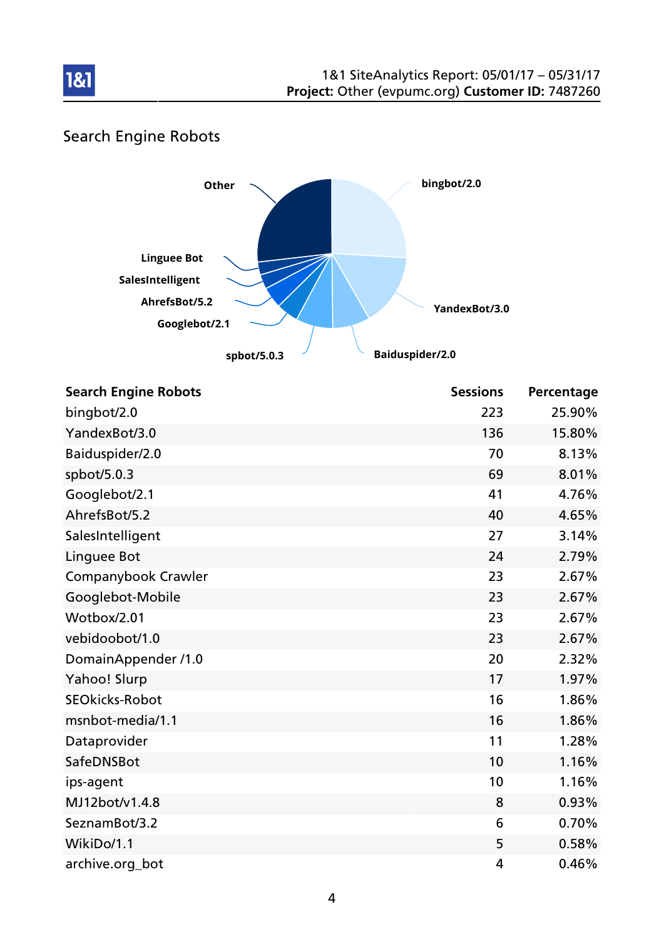

# Search Engine Robots



| <b>Search Engine Robots</b> | <b>Sessions</b> | Percentage |
|-----------------------------|-----------------|------------|
| bingbot/2.0                 | 223             | 25.90%     |
| YandexBot/3.0               | 136             | 15.80%     |
| Baiduspider/2.0             | 70              | 8.13%      |
| spbot/5.0.3                 | 69              | 8.01%      |
| Googlebot/2.1               | 41              | 4.76%      |
| AhrefsBot/5.2               | 40              | 4.65%      |
| SalesIntelligent            | 27              | 3.14%      |
| Linguee Bot                 | 24              | 2.79%      |
| Companybook Crawler         | 23              | 2.67%      |
| Googlebot-Mobile            | 23              | 2.67%      |
| Wotbox/2.01                 | 23              | 2.67%      |
| vebidoobot/1.0              | 23              | 2.67%      |
| DomainAppender /1.0         | 20              | 2.32%      |
| Yahoo! Slurp                | 17              | 1.97%      |
| <b>SEOkicks-Robot</b>       | 16              | 1.86%      |
| msnbot-media/1.1            | 16              | 1.86%      |
| Dataprovider                | 11              | 1.28%      |
| SafeDNSBot                  | 10              | 1.16%      |
| ips-agent                   | 10              | 1.16%      |
| MJ12bot/v1.4.8              | 8               | 0.93%      |
| SeznamBot/3.2               | 6               | 0.70%      |
| WikiDo/1.1                  | 5               | 0.58%      |
| archive.org_bot             | 4               | 0.46%      |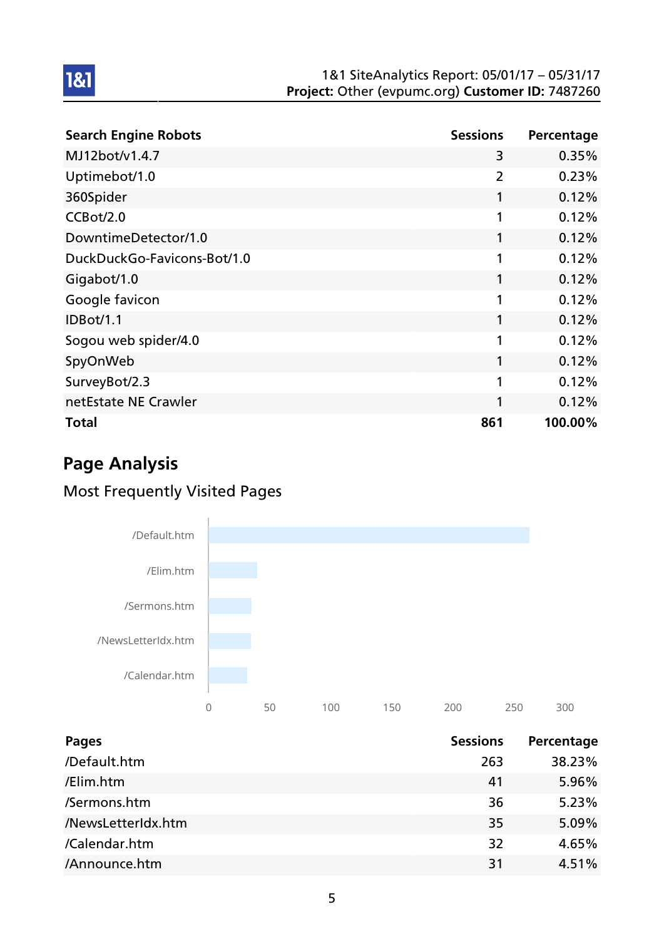| <b>Search Engine Robots</b> | <b>Sessions</b> | Percentage |
|-----------------------------|-----------------|------------|
| MJ12bot/v1.4.7              | 3               | 0.35%      |
| Uptimebot/1.0               | $\overline{2}$  | 0.23%      |
| 360Spider                   | 1               | 0.12%      |
| CCBot/2.0                   | 1               | 0.12%      |
| DowntimeDetector/1.0        | 1               | 0.12%      |
| DuckDuckGo-Favicons-Bot/1.0 | 1               | 0.12%      |
| Gigabot/1.0                 | 1               | 0.12%      |
| Google favicon              | 1               | 0.12%      |
| <b>IDBot/1.1</b>            | 1               | 0.12%      |
| Sogou web spider/4.0        | 1               | 0.12%      |
| SpyOnWeb                    | 1               | 0.12%      |
| SurveyBot/2.3               | 1               | 0.12%      |
| netEstate NE Crawler        | 1               | 0.12%      |
| Total                       | 861             | 100.00%    |

# Page Analysis

1&1

# Most Frequently Visited Pages



| <b>Pages</b>       | <b>Sessions</b> | Percentage |
|--------------------|-----------------|------------|
| /Default.htm       | 263             | 38.23%     |
| /Elim.htm          | 41              | 5.96%      |
| /Sermons.htm       | 36              | 5.23%      |
| /NewsLetterIdx.htm | 35              | 5.09%      |
| /Calendar.htm      | 32              | 4.65%      |
| /Announce.htm      | 31              | 4.51%      |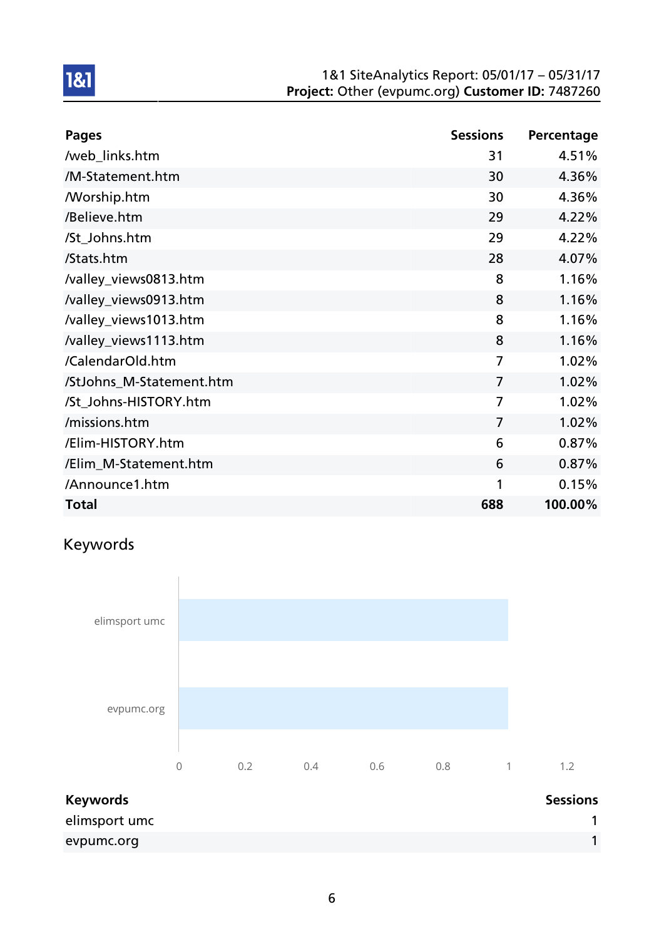| <b>Pages</b>             | <b>Sessions</b> | Percentage |
|--------------------------|-----------------|------------|
| /web_links.htm           | 31              | 4.51%      |
| /M-Statement.htm         | 30              | 4.36%      |
| <b>Morship.htm</b>       | 30              | 4.36%      |
| /Believe.htm             | 29              | 4.22%      |
| /St_Johns.htm            | 29              | 4.22%      |
| /Stats.htm               | 28              | 4.07%      |
| /valley_views0813.htm    | 8               | 1.16%      |
| /valley_views0913.htm    | 8               | 1.16%      |
| /valley_views1013.htm    | 8               | 1.16%      |
| /valley_views1113.htm    | 8               | 1.16%      |
| /CalendarOld.htm         | $\overline{7}$  | 1.02%      |
| /StJohns_M-Statement.htm | $\overline{7}$  | 1.02%      |
| /St_Johns-HISTORY.htm    | $\overline{7}$  | 1.02%      |
| /missions.htm            | $\overline{7}$  | 1.02%      |
| /Elim-HISTORY.htm        | 6               | 0.87%      |
| /Elim_M-Statement.htm    | 6               | 0.87%      |
| /Announce1.htm           | 1               | 0.15%      |
| <b>Total</b>             | 688             | 100.00%    |

# Keywords

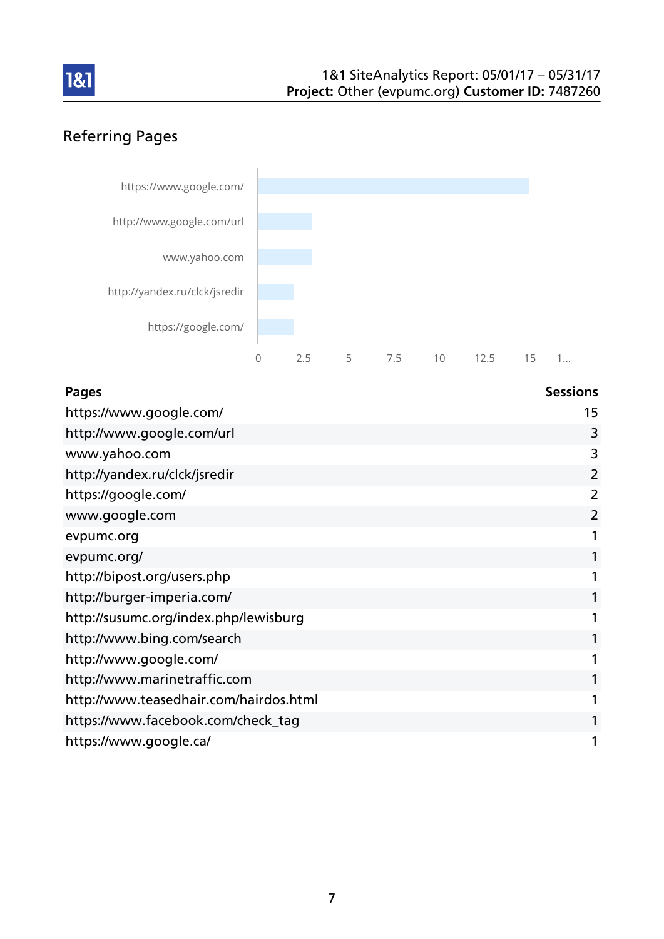

# Referring Pages



| <b>Pages</b>                           | <b>Sessions</b> |
|----------------------------------------|-----------------|
| https://www.google.com/                | 15              |
| http://www.google.com/url              | 3               |
| www.yahoo.com                          | 3               |
| http://yandex.ru/clck/jsredir          | 2               |
| https://google.com/                    | 2               |
| www.google.com                         | 2               |
| evpumc.org                             |                 |
| evpumc.org/                            |                 |
| http://bipost.org/users.php            |                 |
| http://burger-imperia.com/             |                 |
| http://susumc.org/index.php/lewisburg  |                 |
| http://www.bing.com/search             |                 |
| http://www.google.com/                 |                 |
| http://www.marinetraffic.com           |                 |
| http://www.teasedhair.com/hairdos.html |                 |
| https://www.facebook.com/check_tag     |                 |
| https://www.google.ca/                 |                 |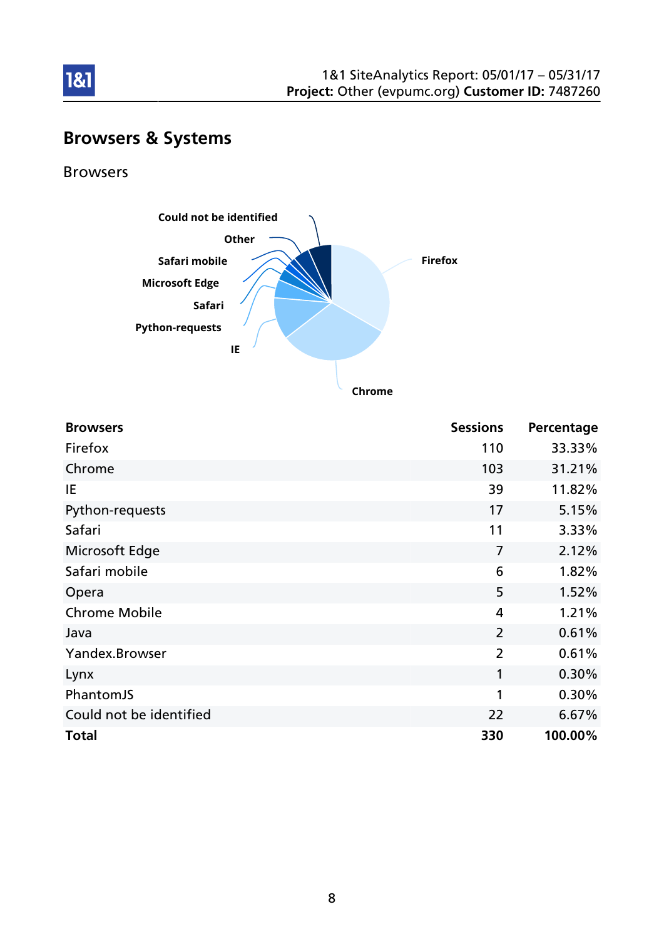

# Browsers & Systems

Browsers

1&1



**Chrome**

| <b>Browsers</b>         | <b>Sessions</b> | Percentage |
|-------------------------|-----------------|------------|
| Firefox                 | 110             | 33.33%     |
| Chrome                  | 103             | 31.21%     |
| IE                      | 39              | 11.82%     |
| Python-requests         | 17              | 5.15%      |
| Safari                  | 11              | 3.33%      |
| Microsoft Edge          | $\overline{7}$  | 2.12%      |
| Safari mobile           | 6               | 1.82%      |
| Opera                   | 5               | 1.52%      |
| <b>Chrome Mobile</b>    | 4               | 1.21%      |
| Java                    | $\overline{2}$  | 0.61%      |
| Yandex.Browser          | $\overline{2}$  | 0.61%      |
| Lynx                    | $\mathbf{1}$    | 0.30%      |
| PhantomJS               | 1               | 0.30%      |
| Could not be identified | 22              | 6.67%      |
| <b>Total</b>            | 330             | 100.00%    |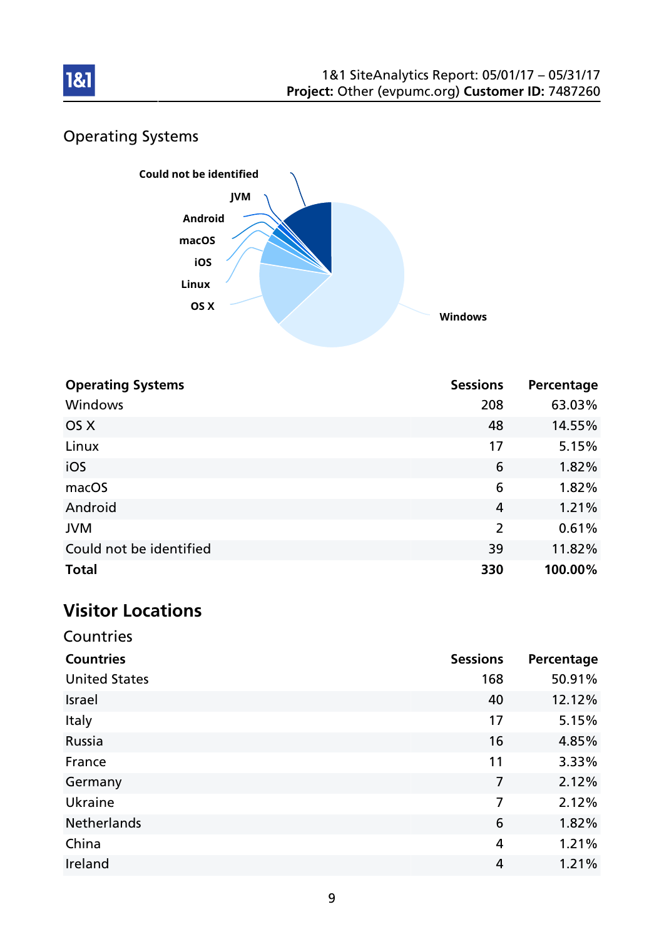

# Operating Systems



| <b>Operating Systems</b> | <b>Sessions</b> | Percentage |
|--------------------------|-----------------|------------|
| Windows                  | 208             | 63.03%     |
| OS X                     | 48              | 14.55%     |
| Linux                    | 17              | 5.15%      |
| iOS                      | 6               | 1.82%      |
| macOS                    | 6               | 1.82%      |
| Android                  | $\overline{4}$  | 1.21%      |
| <b>JVM</b>               | 2               | 0.61%      |
| Could not be identified  | 39              | 11.82%     |
| <b>Total</b>             | 330             | 100.00%    |

# Visitor Locations

| Countries            |                 |            |
|----------------------|-----------------|------------|
| <b>Countries</b>     | <b>Sessions</b> | Percentage |
| <b>United States</b> | 168             | 50.91%     |
| <b>Israel</b>        | 40              | 12.12%     |
| Italy                | 17              | 5.15%      |
| Russia               | 16              | 4.85%      |
| France               | 11              | 3.33%      |
| Germany              | $\overline{7}$  | 2.12%      |
| Ukraine              | 7               | 2.12%      |
| <b>Netherlands</b>   | 6               | 1.82%      |
| China                | 4               | 1.21%      |
| Ireland              | 4               | 1.21%      |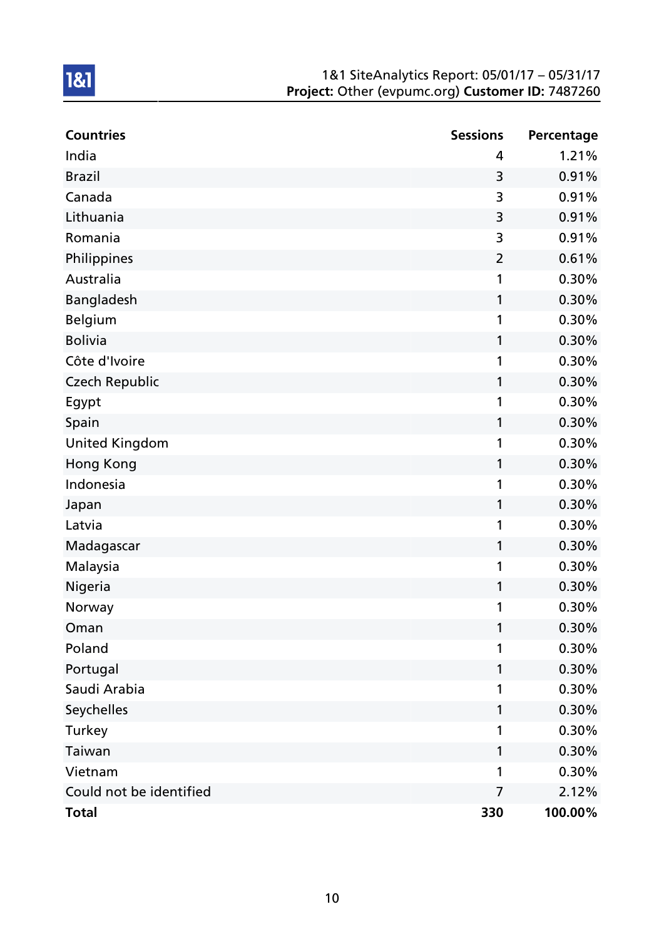| <b>Countries</b>        | <b>Sessions</b> | Percentage |
|-------------------------|-----------------|------------|
| India                   | 4               | 1.21%      |
| <b>Brazil</b>           | 3               | 0.91%      |
| Canada                  | 3               | 0.91%      |
| Lithuania               | 3               | 0.91%      |
| Romania                 | 3               | 0.91%      |
| Philippines             | $\overline{2}$  | 0.61%      |
| Australia               | 1               | 0.30%      |
| Bangladesh              | 1               | 0.30%      |
| <b>Belgium</b>          | 1               | 0.30%      |
| <b>Bolivia</b>          | 1               | 0.30%      |
| Côte d'Ivoire           | 1               | 0.30%      |
| <b>Czech Republic</b>   | 1               | 0.30%      |
| Egypt                   | 1               | 0.30%      |
| Spain                   | 1               | 0.30%      |
| <b>United Kingdom</b>   | 1               | 0.30%      |
| Hong Kong               | 1               | 0.30%      |
| Indonesia               | 1               | 0.30%      |
| Japan                   | 1               | 0.30%      |
| Latvia                  | 1               | 0.30%      |
| Madagascar              | 1               | 0.30%      |
| Malaysia                | 1               | 0.30%      |
| Nigeria                 | 1               | 0.30%      |
| Norway                  | 1               | 0.30%      |
| Oman                    | 1               | 0.30%      |
| Poland                  | 1               | 0.30%      |
| Portugal                | 1               | 0.30%      |
| Saudi Arabia            | 1               | 0.30%      |
| Seychelles              | 1               | 0.30%      |
| Turkey                  | 1               | 0.30%      |
| Taiwan                  | 1               | 0.30%      |
| Vietnam                 | 1               | 0.30%      |
| Could not be identified | $\overline{7}$  | 2.12%      |
| <b>Total</b>            | 330             | 100.00%    |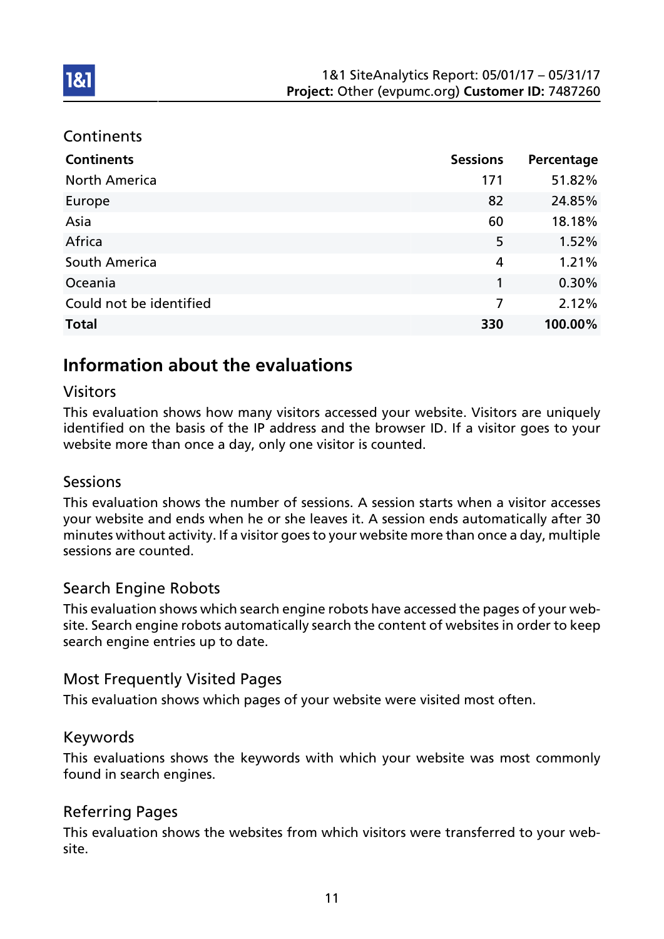### **Continents**

**1&1** 

| <b>Continents</b>       | <b>Sessions</b> | Percentage |
|-------------------------|-----------------|------------|
| <b>North America</b>    | 171             | 51.82%     |
| Europe                  | 82              | 24.85%     |
| Asia                    | 60              | 18.18%     |
| Africa                  | 5               | 1.52%      |
| South America           | 4               | 1.21%      |
| Oceania                 | 1               | 0.30%      |
| Could not be identified | $\overline{7}$  | 2.12%      |
| <b>Total</b>            | 330             | 100.00%    |

# Information about the evaluations

### Visitors

This evaluation shows how many visitors accessed your website. Visitors are uniquely identified on the basis of the IP address and the browser ID. If a visitor goes to your website more than once a day, only one visitor is counted.

### Sessions

This evaluation shows the number of sessions. A session starts when a visitor accesses your website and ends when he or she leaves it. A session ends automatically after 30 minutes without activity. If a visitor goes to your website more than once a day, multiple sessions are counted.

### Search Engine Robots

This evaluation shows which search engine robots have accessed the pages of your website. Search engine robots automatically search the content of websites in order to keep search engine entries up to date.

## Most Frequently Visited Pages

This evaluation shows which pages of your website were visited most often.

### Keywords

This evaluations shows the keywords with which your website was most commonly found in search engines.

## Referring Pages

This evaluation shows the websites from which visitors were transferred to your website.